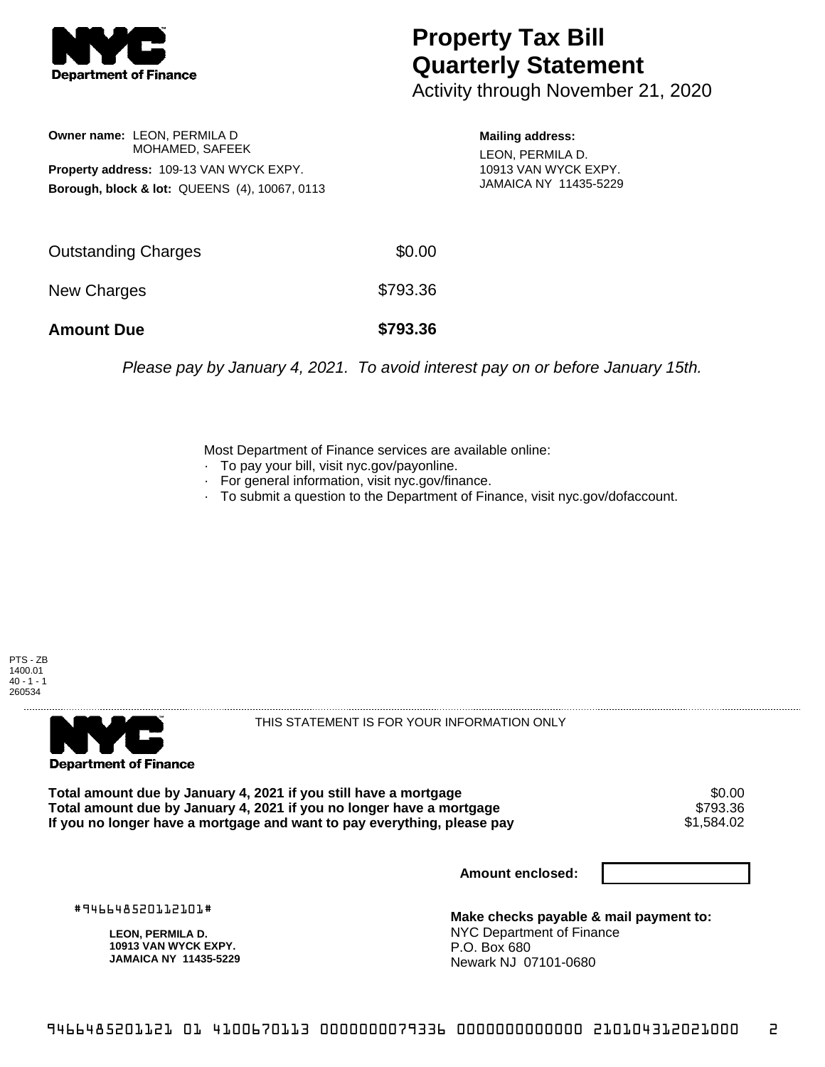

## **Property Tax Bill Quarterly Statement**

Activity through November 21, 2020

**Owner name:** LEON, PERMILA D MOHAMED, SAFEEK **Property address:** 109-13 VAN WYCK EXPY. **Borough, block & lot:** QUEENS (4), 10067, 0113

**Mailing address:** LEON, PERMILA D. 10913 VAN WYCK EXPY. JAMAICA NY 11435-5229

| <b>Amount Due</b>   | \$793.36 |
|---------------------|----------|
| New Charges         | \$793.36 |
| Outstanding Charges | \$0.00   |

Please pay by January 4, 2021. To avoid interest pay on or before January 15th.

Most Department of Finance services are available online:

- · To pay your bill, visit nyc.gov/payonline.
- For general information, visit nyc.gov/finance.
- · To submit a question to the Department of Finance, visit nyc.gov/dofaccount.





THIS STATEMENT IS FOR YOUR INFORMATION ONLY

Total amount due by January 4, 2021 if you still have a mortgage \$0.00<br>Total amount due by January 4, 2021 if you no longer have a mortgage \$793.36 **Total amount due by January 4, 2021 if you no longer have a mortgage \$793.36<br>If you no longer have a mortgage and want to pay everything, please pay \$1.584.02** If you no longer have a mortgage and want to pay everything, please pay

**Amount enclosed:**

#946648520112101#

**LEON, PERMILA D. 10913 VAN WYCK EXPY. JAMAICA NY 11435-5229**

**Make checks payable & mail payment to:** NYC Department of Finance P.O. Box 680 Newark NJ 07101-0680